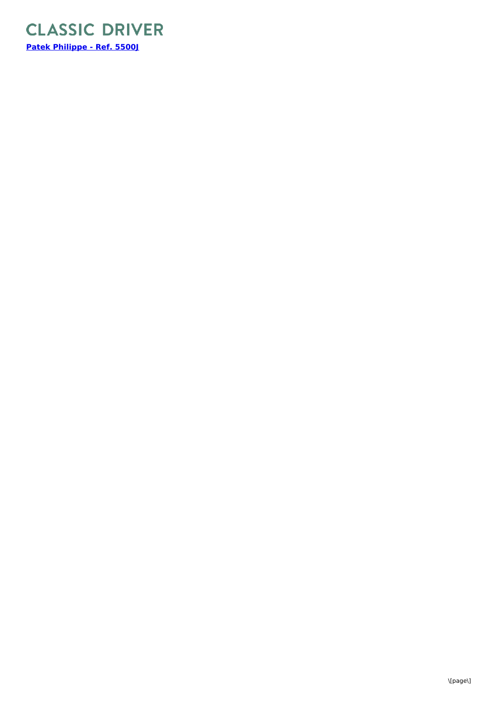